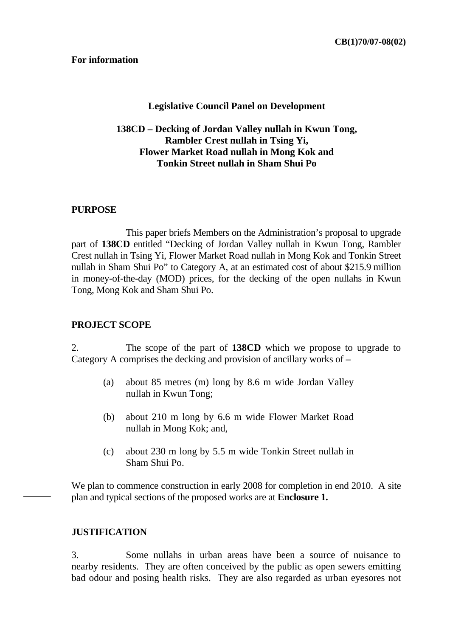#### **Legislative Council Panel on Development**

## **138CD – Decking of Jordan Valley nullah in Kwun Tong, Rambler Crest nullah in Tsing Yi, Flower Market Road nullah in Mong Kok and Tonkin Street nullah in Sham Shui Po**

#### **PURPOSE**

 This paper briefs Members on the Administration's proposal to upgrade part of **138CD** entitled "Decking of Jordan Valley nullah in Kwun Tong, Rambler Crest nullah in Tsing Yi, Flower Market Road nullah in Mong Kok and Tonkin Street nullah in Sham Shui Po" to Category A, at an estimated cost of about \$215.9 million in money-of-the-day (MOD) prices, for the decking of the open nullahs in Kwun Tong, Mong Kok and Sham Shui Po.

#### **PROJECT SCOPE**

2. The scope of the part of **138CD** which we propose to upgrade to Category A comprises the decking and provision of ancillary works of **–** 

- (a) about 85 metres (m) long by 8.6 m wide Jordan Valley nullah in Kwun Tong;
- (b) about 210 m long by 6.6 m wide Flower Market Road nullah in Mong Kok; and,
- (c) about 230 m long by 5.5 m wide Tonkin Street nullah in Sham Shui Po.

We plan to commence construction in early 2008 for completion in end 2010. A site plan and typical sections of the proposed works are at **Enclosure 1.**

#### **JUSTIFICATION**

3. Some nullahs in urban areas have been a source of nuisance to nearby residents. They are often conceived by the public as open sewers emitting bad odour and posing health risks. They are also regarded as urban eyesores not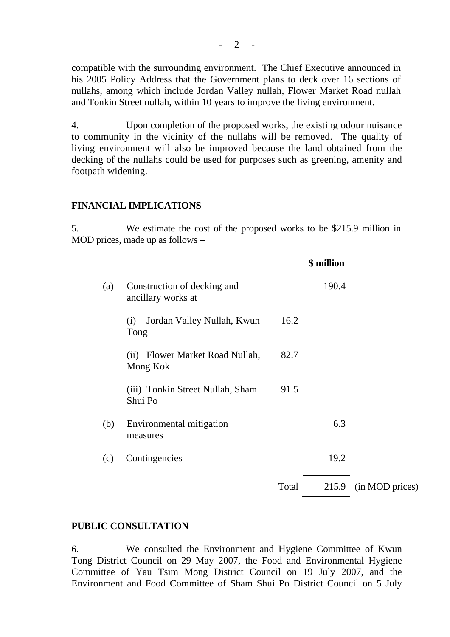compatible with the surrounding environment. The Chief Executive announced in his 2005 Policy Address that the Government plans to deck over 16 sections of nullahs, among which include Jordan Valley nullah, Flower Market Road nullah and Tonkin Street nullah, within 10 years to improve the living environment.

4. Upon completion of the proposed works, the existing odour nuisance to community in the vicinity of the nullahs will be removed. The quality of living environment will also be improved because the land obtained from the decking of the nullahs could be used for purposes such as greening, amenity and footpath widening.

### **FINANCIAL IMPLICATIONS**

5. We estimate the cost of the proposed works to be \$215.9 million in MOD prices, made up as follows –

|     |                                                   |       | \$ million |                 |
|-----|---------------------------------------------------|-------|------------|-----------------|
| (a) | Construction of decking and<br>ancillary works at |       | 190.4      |                 |
|     | Jordan Valley Nullah, Kwun<br>(i)<br>Tong         | 16.2  |            |                 |
|     | Flower Market Road Nullah,<br>(ii)<br>Mong Kok    | 82.7  |            |                 |
|     | (iii) Tonkin Street Nullah, Sham<br>Shui Po       | 91.5  |            |                 |
| (b) | Environmental mitigation<br>measures              |       | 6.3        |                 |
| (c) | Contingencies                                     |       | 19.2       |                 |
|     |                                                   | Total | 215.9      | (in MOD prices) |
|     |                                                   |       |            |                 |

#### **PUBLIC CONSULTATION**

6. We consulted the Environment and Hygiene Committee of Kwun Tong District Council on 29 May 2007, the Food and Environmental Hygiene Committee of Yau Tsim Mong District Council on 19 July 2007, and the Environment and Food Committee of Sham Shui Po District Council on 5 July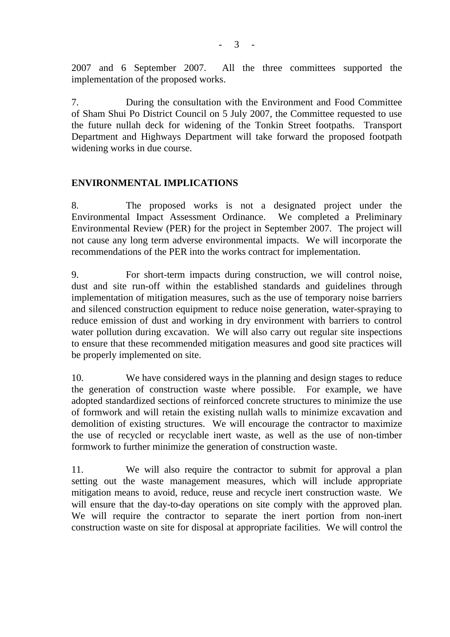2007 and 6 September 2007. All the three committees supported the implementation of the proposed works.

7. During the consultation with the Environment and Food Committee of Sham Shui Po District Council on 5 July 2007, the Committee requested to use the future nullah deck for widening of the Tonkin Street footpaths. Transport Department and Highways Department will take forward the proposed footpath widening works in due course.

# **ENVIRONMENTAL IMPLICATIONS**

8. The proposed works is not a designated project under the Environmental Impact Assessment Ordinance. We completed a Preliminary Environmental Review (PER) for the project in September 2007. The project will not cause any long term adverse environmental impacts. We will incorporate the recommendations of the PER into the works contract for implementation.

9. For short-term impacts during construction, we will control noise, dust and site run-off within the established standards and guidelines through implementation of mitigation measures, such as the use of temporary noise barriers and silenced construction equipment to reduce noise generation, water-spraying to reduce emission of dust and working in dry environment with barriers to control water pollution during excavation. We will also carry out regular site inspections to ensure that these recommended mitigation measures and good site practices will be properly implemented on site.

10. We have considered ways in the planning and design stages to reduce the generation of construction waste where possible. For example, we have adopted standardized sections of reinforced concrete structures to minimize the use of formwork and will retain the existing nullah walls to minimize excavation and demolition of existing structures. We will encourage the contractor to maximize the use of recycled or recyclable inert waste, as well as the use of non-timber formwork to further minimize the generation of construction waste.

11. We will also require the contractor to submit for approval a plan setting out the waste management measures, which will include appropriate mitigation means to avoid, reduce, reuse and recycle inert construction waste. We will ensure that the day-to-day operations on site comply with the approved plan. We will require the contractor to separate the inert portion from non-inert construction waste on site for disposal at appropriate facilities. We will control the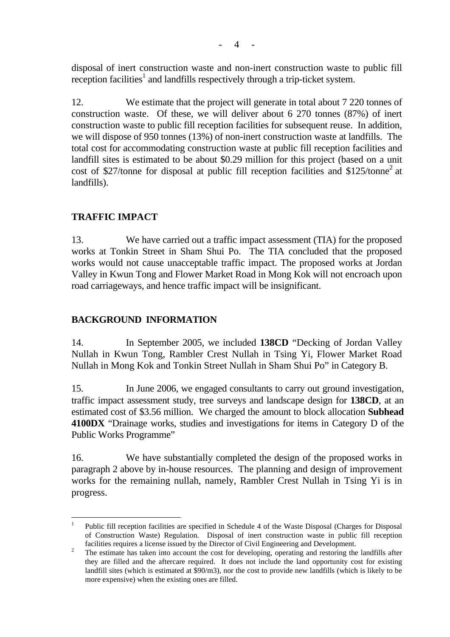disposal of inert construction waste and non-inert construction waste to public fill reception facilities<sup>1</sup> and landfills respectively through a trip-ticket system.

12. We estimate that the project will generate in total about 7 220 tonnes of construction waste. Of these, we will deliver about 6 270 tonnes (87%) of inert construction waste to public fill reception facilities for subsequent reuse. In addition, we will dispose of 950 tonnes (13%) of non-inert construction waste at landfills. The total cost for accommodating construction waste at public fill reception facilities and landfill sites is estimated to be about \$0.29 million for this project (based on a unit cost of \$27/tonne for disposal at public fill reception facilities and  $$125/tonne<sup>2</sup>$  at landfills).

# **TRAFFIC IMPACT**

13. We have carried out a traffic impact assessment (TIA) for the proposed works at Tonkin Street in Sham Shui Po. The TIA concluded that the proposed works would not cause unacceptable traffic impact. The proposed works at Jordan Valley in Kwun Tong and Flower Market Road in Mong Kok will not encroach upon road carriageways, and hence traffic impact will be insignificant.

## **BACKGROUND INFORMATION**

14. In September 2005, we included **138CD** "Decking of Jordan Valley Nullah in Kwun Tong, Rambler Crest Nullah in Tsing Yi, Flower Market Road Nullah in Mong Kok and Tonkin Street Nullah in Sham Shui Po" in Category B.

15. In June 2006, we engaged consultants to carry out ground investigation, traffic impact assessment study, tree surveys and landscape design for **138CD**, at an estimated cost of \$3.56 million. We charged the amount to block allocation **Subhead 4100DX** "Drainage works, studies and investigations for items in Category D of the Public Works Programme"

16. We have substantially completed the design of the proposed works in paragraph 2 above by in-house resources. The planning and design of improvement works for the remaining nullah, namely, Rambler Crest Nullah in Tsing Yi is in progress.

 $\overline{a}$ <sup>1</sup> Public fill reception facilities are specified in Schedule 4 of the Waste Disposal (Charges for Disposal of Construction Waste) Regulation. Disposal of inert construction waste in public fill reception facilities requires a license issued by the Director of Civil Engineering and Development.<br>The estimate has taken into account the cost for developing, operating and restoring the landfills after

they are filled and the aftercare required. It does not include the land opportunity cost for existing landfill sites (which is estimated at \$90/m3), nor the cost to provide new landfills (which is likely to be more expensive) when the existing ones are filled.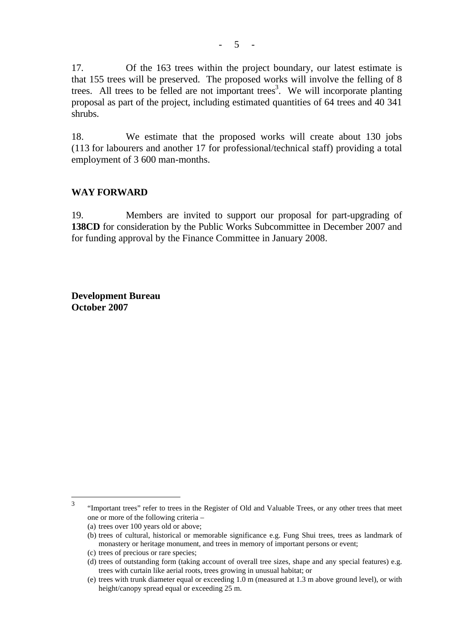17. Of the 163 trees within the project boundary, our latest estimate is that 155 trees will be preserved. The proposed works will involve the felling of 8 trees. All trees to be felled are not important trees<sup>3</sup>. We will incorporate planting proposal as part of the project, including estimated quantities of 64 trees and 40 341 shrubs.

18. We estimate that the proposed works will create about 130 jobs (113 for labourers and another 17 for professional/technical staff) providing a total employment of 3 600 man-months.

### **WAY FORWARD**

19. Members are invited to support our proposal for part-upgrading of **138CD** for consideration by the Public Works Subcommittee in December 2007 and for funding approval by the Finance Committee in January 2008.

**Development Bureau October 2007** 

 $\overline{3}$ 3 "Important trees" refer to trees in the Register of Old and Valuable Trees, or any other trees that meet one or more of the following criteria –

<sup>(</sup>a) trees over 100 years old or above;

<sup>(</sup>b) trees of cultural, historical or memorable significance e.g. Fung Shui trees, trees as landmark of monastery or heritage monument, and trees in memory of important persons or event;

<sup>(</sup>c) trees of precious or rare species;

<sup>(</sup>d) trees of outstanding form (taking account of overall tree sizes, shape and any special features) e.g. trees with curtain like aerial roots, trees growing in unusual habitat; or

<sup>(</sup>e) trees with trunk diameter equal or exceeding 1.0 m (measured at 1.3 m above ground level), or with height/canopy spread equal or exceeding 25 m.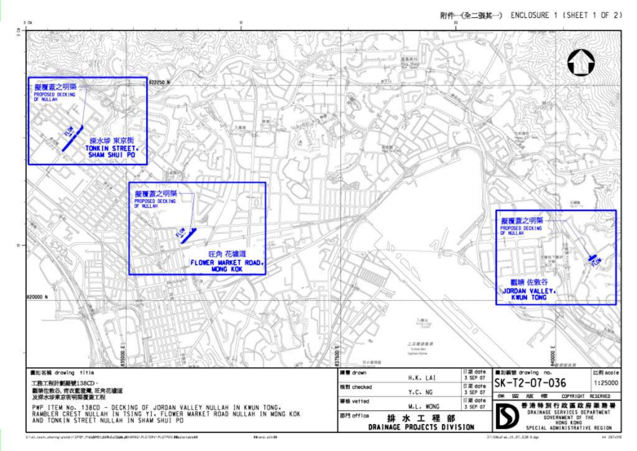

3/149. Increase or printer in 1959. President special parameters in a liter in of PER discussion to be